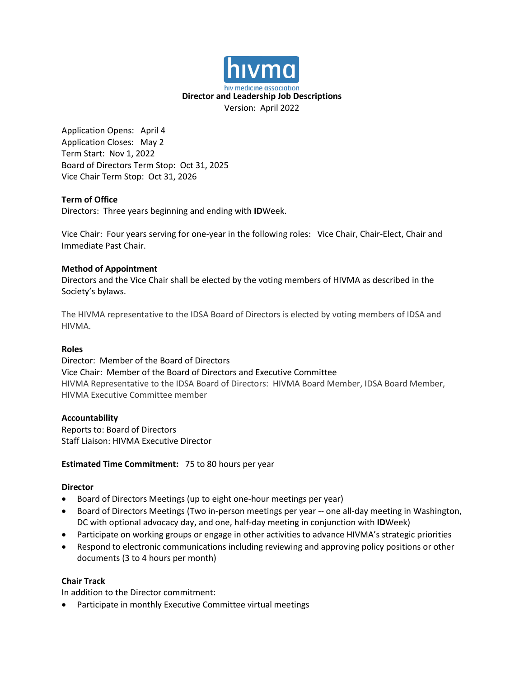

Application Opens: April 4 Application Closes: May 2 Term Start: Nov 1, 2022 Board of Directors Term Stop: Oct 31, 2025 Vice Chair Term Stop: Oct 31, 2026

### **Term of Office**

Directors: Three years beginning and ending with **ID**Week.

Vice Chair: Four years serving for one-year in the following roles: Vice Chair, Chair-Elect, Chair and Immediate Past Chair.

### **Method of Appointment**

Directors and the Vice Chair shall be elected by the voting members of HIVMA as described in the Society's bylaws.

The HIVMA representative to the IDSA Board of Directors is elected by voting members of IDSA and HIVMA.

#### **Roles**

Director: Member of the Board of Directors Vice Chair: Member of the Board of Directors and Executive Committee HIVMA Representative to the IDSA Board of Directors: HIVMA Board Member, IDSA Board Member, HIVMA Executive Committee member

#### **Accountability**

Reports to: Board of Directors Staff Liaison: HIVMA Executive Director

#### **Estimated Time Commitment:** 75 to 80 hours per year

#### **Director**

- Board of Directors Meetings (up to eight one-hour meetings per year)
- Board of Directors Meetings (Two in-person meetings per year -- one all-day meeting in Washington, DC with optional advocacy day, and one, half-day meeting in conjunction with **ID**Week)
- Participate on working groups or engage in other activities to advance HIVMA's strategic priorities
- Respond to electronic communications including reviewing and approving policy positions or other documents (3 to 4 hours per month)

#### **Chair Track**

In addition to the Director commitment:

• Participate in monthly Executive Committee virtual meetings